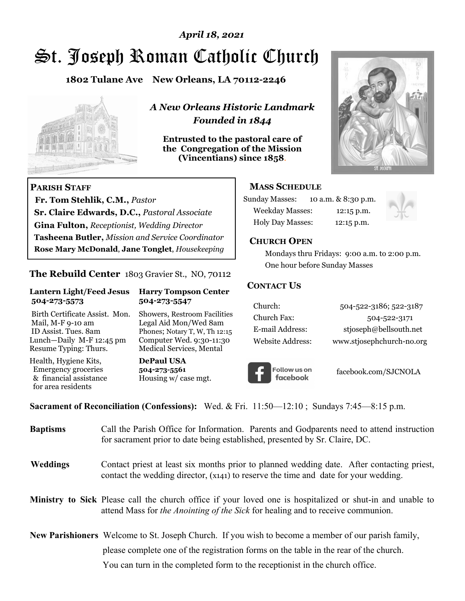# St. Joseph Roman Catholic Church *April 18, 2021*

**1802 Tulane Ave New Orleans, LA 70112-2246**



 **Fr. Tom Stehlik, C.M.,** *Pastor* 

**Sr. Claire Edwards, D.C.,** *Pastoral Associate* **Gina Fulton,** *Receptionist, Wedding Director* 

**Tasheena Butler,** *Mission and Service Coordinator* **Rose Mary McDonald**, **Jane Tonglet**, *Housekeeping*

**The Rebuild Center** 1803 Gravier St., NO, 70112

**Lantern Light/Feed Jesus Harry Tompson Center** 

Birth Certificate Assist. Mon. Showers, Restroom Facilities Mail, M-F 9-10 am Legal Aid Mon/Wed 8am ID Assist. Tues. 8am Phones; Notary T, W, Th 12:15 Lunch—Daily M-F 12:45 pm Computer Wed. 9:30-11:30 Resume Typing: Thurs. Medical Services, Mental

 **504-273-5573 504-273-5547** 

Health, Hygiene Kits, **DePaul USA**  Emergency groceries **504-273-5561**<br>& financial assistance **Housing w/** ca

**PARISH STAFF**

for area residents

*A New Orleans Historic Landmark Founded in 1844* 

**Entrusted to the pastoral care of the Congregation of the Mission (Vincentians) since 1858**.



## **MASS SCHEDULE**

| <b>Sunday Masses:</b>  | 10 a.m. & 8:30 p.m. |
|------------------------|---------------------|
| <b>Weekday Masses:</b> | $12:15$ p.m.        |
| Holy Day Masses:       | 12:15 p.m.          |



#### **CHURCH OPEN**

 Mondays thru Fridays: 9:00 a.m. to 2:00 p.m. One hour before Sunday Masses

#### **CONTACT US**

| Church:          | 504-522-3186; 522-3187    |
|------------------|---------------------------|
| Church Fax:      | 504-522-3171              |
| E-mail Address:  | stjoseph@bellsouth.net    |
| Website Address: | www.stjosephchurch-no.org |



facebook.com/SJCNOLA

**Sacrament of Reconciliation (Confessions):** Wed. & Fri. 11:50—12:10 ; Sundays 7:45—8:15 p.m.

Housing w/ case mgt.

| <b>Baptisms</b> | Call the Parish Office for Information. Parents and Godparents need to attend instruction<br>for sacrament prior to date being established, presented by Sr. Claire, DC.                            |
|-----------------|-----------------------------------------------------------------------------------------------------------------------------------------------------------------------------------------------------|
| <b>Weddings</b> | Contact priest at least six months prior to planned wedding date. After contacting priest,<br>contact the wedding director, (x141) to reserve the time and date for your wedding.                   |
|                 | <b>Ministry to Sick</b> Please call the church office if your loved one is hospitalized or shut-in and unable to<br>attend Mass for the Anointing of the Sick for healing and to receive communion. |
|                 | <b>New Parishioners</b> Welcome to St. Joseph Church. If you wish to become a member of our parish family,                                                                                          |
|                 | please complete one of the registration forms on the table in the rear of the church.                                                                                                               |
|                 | You can turn in the completed form to the receptionist in the church office.                                                                                                                        |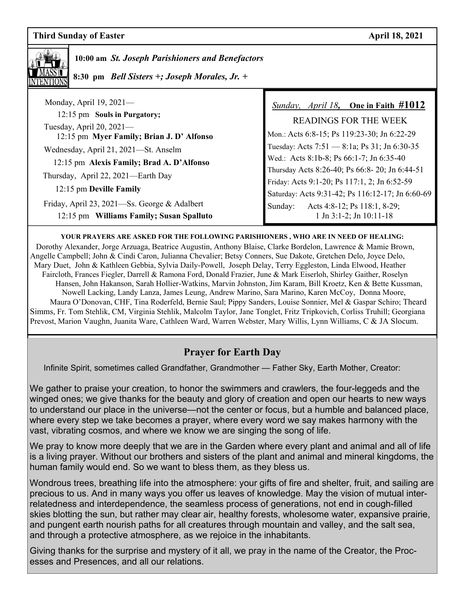

 **10:00 am** *St. Joseph Parishioners and Benefactors*

 **8:30 pm** *Bell Sisters +; Joseph Morales, Jr. +* 

| Monday, April $19, 2021$ —                                  | <i>Sunday, April 18</i> , One in Faith $\#1012$  |
|-------------------------------------------------------------|--------------------------------------------------|
| 12:15 pm Souls in Purgatory;<br>Tuesday, April 20, $2021$ — | <b>READINGS FOR THE WEEK</b>                     |
| 12:15 pm Myer Family; Brian J. D' Alfonso                   | Mon.: Acts 6:8-15; Ps 119:23-30; Jn 6:22-29      |
| Wednesday, April 21, 2021—St. Anselm                        | Tuesday: Acts 7:51 - 8:1a; Ps 31; Jn 6:30-35     |
| 12:15 pm Alexis Family; Brad A. D'Alfonso                   | Wed.: Acts 8:1b-8; Ps 66:1-7; Jn 6:35-40         |
| Thursday, April 22, 2021-Earth Day                          | Thursday Acts 8:26-40; Ps 66:8-20; Jn 6:44-51    |
| 12:15 pm Deville Family                                     | Friday: Acts 9:1-20; Ps 117:1, 2; Jn 6:52-59     |
|                                                             | Saturday: Acts 9:31-42; Ps 116:12-17; Jn 6:60-69 |
| Friday, April 23, 2021—Ss. George & Adalbert                | Acts 4:8-12; Ps 118:1, 8-29;<br>Sunday:          |
| 12:15 pm Williams Family; Susan Spalluto                    | $1$ Jn 3:1-2; Jn 10:11-18                        |

#### **YOUR PRAYERS ARE ASKED FOR THE FOLLOWING PARISHIONERS , WHO ARE IN NEED OF HEALING:**

 Dorothy Alexander, Jorge Arzuaga, Beatrice Augustin, Anthony Blaise, Clarke Bordelon, Lawrence & Mamie Brown, Angelle Campbell; John & Cindi Caron, Julianna Chevalier; Betsy Conners, Sue Dakote, Gretchen Delo, Joyce Delo, Mary Duet, John & Kathleen Gebbia, Sylvia Daily-Powell, Joseph Delay, Terry Eggleston, Linda Elwood, Heather Faircloth, Frances Fiegler, Darrell & Ramona Ford, Donald Frazier, June & Mark Eiserloh, Shirley Gaither, Roselyn Hansen, John Hakanson, Sarah Hollier-Watkins, Marvin Johnston, Jim Karam, Bill Kroetz, Ken & Bette Kussman, Nowell Lacking, Landy Lanza, James Leung, Andrew Marino, Sara Marino, Karen McCoy, Donna Moore, Maura O'Donovan, CHF, Tina Roderfeld, Bernie Saul; Pippy Sanders, Louise Sonnier, Mel & Gaspar Schiro; Theard Simms, Fr. Tom Stehlik, CM, Virginia Stehlik, Malcolm Taylor, Jane Tonglet, Fritz Tripkovich, Corliss Truhill; Georgiana Prevost, Marion Vaughn, Juanita Ware, Cathleen Ward, Warren Webster, Mary Willis, Lynn Williams, C & JA Slocum.

# **Prayer for Earth Day**

Infinite Spirit, sometimes called Grandfather, Grandmother — Father Sky, Earth Mother, Creator:

We gather to praise your creation, to honor the swimmers and crawlers, the four-leggeds and the winged ones; we give thanks for the beauty and glory of creation and open our hearts to new ways to understand our place in the universe—not the center or focus, but a humble and balanced place, where every step we take becomes a prayer, where every word we say makes harmony with the vast, vibrating cosmos, and where we know we are singing the song of life.

We pray to know more deeply that we are in the Garden where every plant and animal and all of life is a living prayer. Without our brothers and sisters of the plant and animal and mineral kingdoms, the human family would end. So we want to bless them, as they bless us.

Wondrous trees, breathing life into the atmosphere: your gifts of fire and shelter, fruit, and sailing are precious to us. And in many ways you offer us leaves of knowledge. May the vision of mutual interrelatedness and interdependence, the seamless process of generations, not end in cough-filled skies blotting the sun, but rather may clear air, healthy forests, wholesome water, expansive prairie, and pungent earth nourish paths for all creatures through mountain and valley, and the salt sea, and through a protective atmosphere, as we rejoice in the inhabitants.

Giving thanks for the surprise and mystery of it all, we pray in the name of the Creator, the Processes and Presences, and all our relations.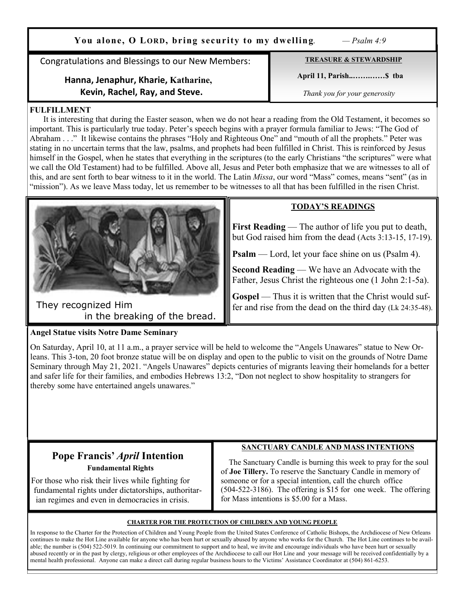**You alone, O LORD, bring security to my dwelling**. *— Psalm 4:9*

Congratulations and Blessings to our New Members:

## **Hanna, Jenaphur, Kharie, Katharine, Kevin, Rachel, Ray, and Steve.**

**TREASURE & STEWARDSHIP**

 **April 11, Parish..…….……\$ tba** 

*Thank you for your generosity*

#### **FULFILLMENT**

 It is interesting that during the Easter season, when we do not hear a reading from the Old Testament, it becomes so important. This is particularly true today. Peter's speech begins with a prayer formula familiar to Jews: "The God of Abraham . . ." It likewise contains the phrases "Holy and Righteous One" and "mouth of all the prophets." Peter was stating in no uncertain terms that the law, psalms, and prophets had been fulfilled in Christ. This is reinforced by Jesus himself in the Gospel, when he states that everything in the scriptures (to the early Christians "the scriptures" were what we call the Old Testament) had to be fulfilled. Above all, Jesus and Peter both emphasize that we are witnesses to all of this, and are sent forth to bear witness to it in the world. The Latin *Missa*, our word "Mass" comes, means "sent" (as in "mission"). As we leave Mass today, let us remember to be witnesses to all that has been fulfilled in the risen Christ.



They recognized Him in the breaking of the bread.

## **TODAY'S READINGS**

**First Reading** — The author of life you put to death, but God raised him from the dead (Acts 3:13-15, 17-19).

**Psalm** — Lord, let your face shine on us (Psalm 4).

**Second Reading** — We have an Advocate with the Father, Jesus Christ the righteous one (1 John 2:1-5a).

Gospel — Thus it is written that the Christ would suffer and rise from the dead on the third day (Lk 24:35-48).

## **Angel Statue visits Notre Dame Seminary**

On Saturday, April 10, at 11 a.m., a prayer service will be held to welcome the "Angels Unawares" statue to New Orleans. This 3-ton, 20 foot bronze statue will be on display and open to the public to visit on the grounds of Notre Dame Seminary through May 21, 2021. "Angels Unawares" depicts centuries of migrants leaving their homelands for a better and safer life for their families, and embodies Hebrews 13:2, "Don not neglect to show hospitality to strangers for thereby some have entertained angels unawares."

# **Pope Francis'** *April* **Intention Fundamental Rights**

 For those who risk their lives while fighting for fundamental rights under dictatorships, authoritar ian regimes and even in democracies in crisis.

## **SANCTUARY CANDLE AND MASS INTENTIONS**

 The Sanctuary Candle is burning this week to pray for the soul of **Joe Tillery.** To reserve the Sanctuary Candle in memory of someone or for a special intention, call the church office (504-522-3186). The offering is \$15 for one week. The offering for Mass intentions is \$5.00 for a Mass.

#### **CHARTER FOR THE PROTECTION OF CHILDREN AND YOUNG PEOPLE**

In response to the Charter for the Protection of Children and Young People from the United States Conference of Catholic Bishops, the Archdiocese of New Orleans continues to make the Hot Line available for anyone who has been hurt or sexually abused by anyone who works for the Church. The Hot Line continues to be available; the number is (504) 522-5019. In continuing our commitment to support and to heal, we invite and encourage individuals who have been hurt or sexually abused recently or in the past by clergy, religious or other employees of the Archdiocese to call our Hot Line and your message will be received confidentially by a mental health professional. Anyone can make a direct call during regular business hours to the Victims' Assistance Coordinator at (504) 861-6253.